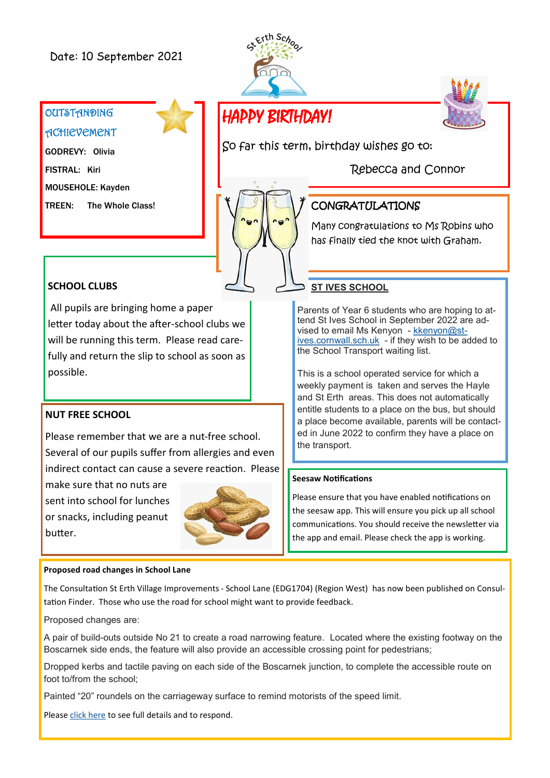## Date: 10 September 2021





# HAPPY BIRTHDAY!

So far this term, birthday wishes go to:

Rebecca and Connor



## CONGRATULATIONS

Many congratulations to Ms Robins who has finally tied the knot with Graham.

## **SCHOOL CLUBS**

**OUTSTANDING** 

**ACHIEVEMENT** 

GODREVY: Olivia

MOUSEHOLE: Kayden

TREEN: The Whole Class!

FISTRAL: Kiri

All pupils are bringing home a paper letter today about the after-school clubs we will be running this term. Please read carefully and return the slip to school as soon as possible.

#### **NUT FREE SCHOOL**

Please remember that we are a nut-free school. Several of our pupils suffer from allergies and even indirect contact can cause a severe reaction. Please

make sure that no nuts are sent into school for lunches or snacks, including peanut butter.



#### **Proposed road changes in School Lane**

The Consultation St Erth Village Improvements - School Lane (EDG1704) (Region West) has now been published on Consultation Finder. Those who use the road for school might want to provide feedback.

Proposed changes are:

A pair of build-outs outside No 21 to create a road narrowing feature. Located where the existing footway on the Boscarnek side ends, the feature will also provide an accessible crossing point for pedestrians;

Dropped kerbs and tactile paving on each side of the Boscarnek junction, to complete the accessible route on foot to/from the school;

Painted "20" roundels on the carriageway surface to remind motorists of the speed limit.

Please [click here](https://www.engagespace.co.uk/cornwall/consultation_Dtl.aspx?consult_Id=2003&status=2) to see full details and to respond.

## **ST IVES SCHOOL**

Parents of Year 6 students who are hoping to attend St Ives School in September 2022 are advised to email Ms Kenyon - [kkenyon@st](mailto:kkenyon@st-ives.cornwall.sch.uk)[ives.cornwall.sch.uk](mailto:kkenyon@st-ives.cornwall.sch.uk) - if they wish to be added to the School Transport waiting list.

This is a school operated service for which a weekly payment is taken and serves the Hayle and St Erth areas. This does not automatically entitle students to a place on the bus, but should a place become available, parents will be contacted in June 2022 to confirm they have a place on the transport.

#### **Seesaw Notifications**

Please ensure that you have enabled notifications on the seesaw app. This will ensure you pick up all school communications. You should receive the newsletter via the app and email. Please check the app is working.